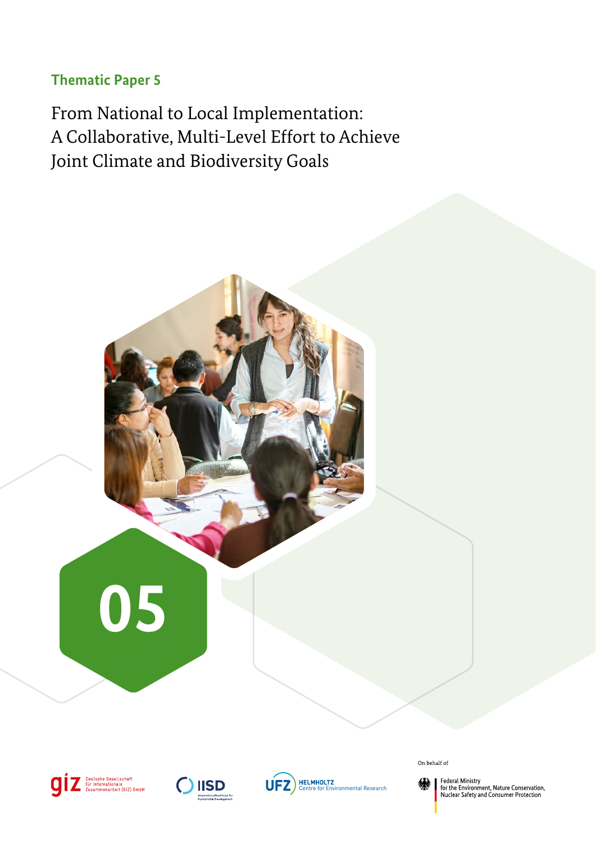### <span id="page-0-0"></span>**Thematic Paper 5**

From National to Local Implementation: A Collaborative, Multi-Level Effort to Achieve Joint Climate and Biodiversity Goals









On behalf of



Federal Ministry<br>for the Environment, Nature Conservation,<br>Nuclear Safety and Consumer Protection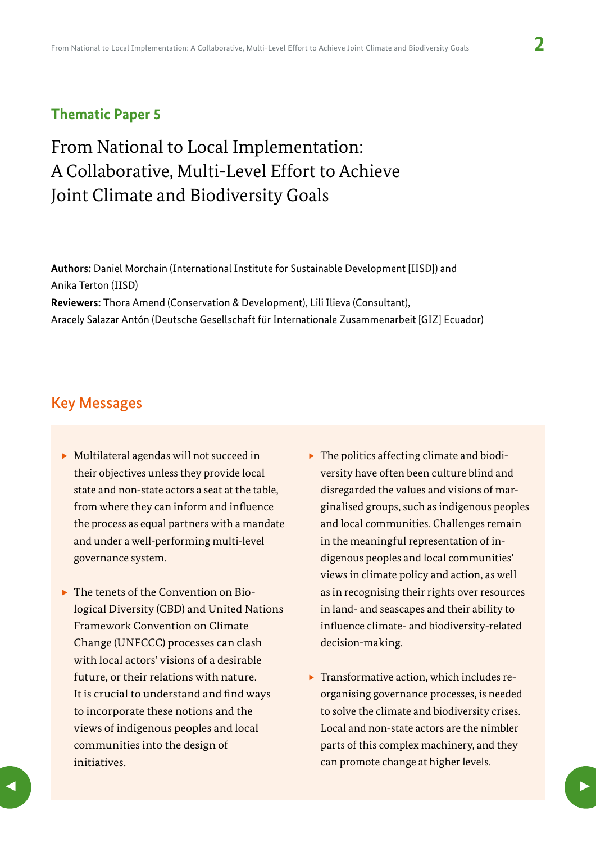### **Thematic Paper 5**

# From National to Local Implementation: A Collaborative, Multi-Level Effort to Achieve Joint Climate and Biodiversity Goals

**Authors:** Daniel Morchain (International Institute for Sustainable Development [IISD]) and Anika Terton (IISD) **Reviewers:** Thora Amend (Conservation & Development), Lili Ilieva (Consultant), Aracely Salazar Antón (Deutsche Gesellschaft für Internationale Zusammenarbeit [GIZ] Ecuador)

### Key Messages

- $\triangleright$  Multilateral agendas will not succeed in their objectives unless they provide local state and non-state actors a seat at the table, from where they can inform and influence the process as equal partners with a mandate and under a well-performing multi-level governance system.
- $\triangleright$  The tenets of the Convention on Biological Diversity (CBD) and United Nations Framework Convention on Climate Change (UNFCCC) processes can clash with local actors' visions of a desirable future, or their relations with nature. It is crucial to understand and find ways to incorporate these notions and the views of indigenous peoples and local communities into the design of initiatives.
- $\triangleright$  The politics affecting climate and biodiversity have often been culture blind and disregarded the values and visions of marginalised groups, such as indigenous peoples and local communities. Challenges remain in the meaningful representation of indigenous peoples and local communities' views in climate policy and action, as well as in recognising their rights over resources in land- and seascapes and their ability to influence climate- and biodiversity-related decision-making.
- $\blacktriangleright$  Transformative action, which includes reorganising governance processes, is needed to solve the climate and biodiversity crises. Local and non-state actors are the nimbler parts of this complex machinery, and they can promote change at higher levels.

 $\blacktriangleleft$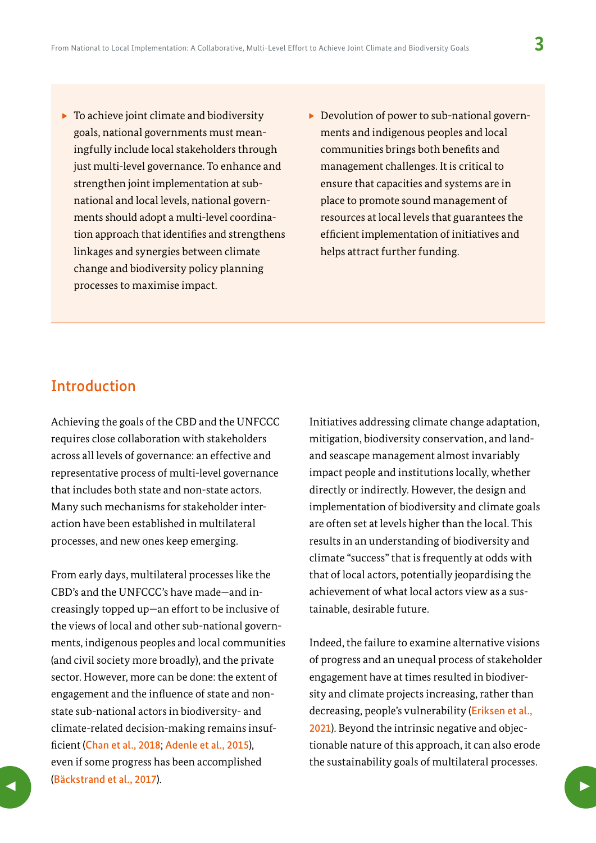- $\triangleright$  To achieve joint climate and biodiversity goals, national governments must meaningfully include local stakeholders through just multi-level governance. To enhance and strengthen joint implementation at subnational and local levels, national governments should adopt a multi-level coordination approach that identifies and strengthens linkages and synergies between climate change and biodiversity policy planning processes to maximise impact.
- Devolution of power to sub-national governments and indigenous peoples and local communities brings both benefits and management challenges. It is critical to ensure that capacities and systems are in place to promote sound management of resources at local levels that guarantees the efficient implementation of initiatives and helps attract further funding.

## Introduction

Achieving the goals of the CBD and the UNFCCC requires close collaboration with stakeholders across all levels of governance: an effective and representative process of multi-level governance that includes both state and non-state actors. Many such mechanisms for stakeholder interaction have been established in multilateral processes, and new ones keep emerging.

From early days, multilateral processes like the CBD's and the UNFCCC's have made—and increasingly topped up—an effort to be inclusive of the views of local and other sub-national governments, indigenous peoples and local communities (and civil society more broadly), and the private sector. However, more can be done: the extent of engagement and the influence of state and nonstate sub-national actors in biodiversity- and climate-related decision-making remains insufficient ([Chan et al., 2018](https://doi.org/10.1007/s10784-018-9384-2); [Adenle et al., 2015](https://doi.org/10.3390/su7010271)), even if some progress has been accomplished ([Bäckstrand et al., 2017](https://www.tandfonline.com/doi/full/10.1080/09644016.2017.1327485)).  $\sum_{i=1}^{3}$ 

Initiatives addressing climate change adaptation, mitigation, biodiversity conservation, and landand seascape management almost invariably impact people and institutions locally, whether directly or indirectly. However, the design and implementation of biodiversity and climate goals are often set at levels higher than the local. This results in an understanding of biodiversity and climate "success" that is frequently at odds with that of local actors, potentially jeopardising the achievement of what local actors view as a sustainable, desirable future.

Indeed, the failure to examine alternative visions of progress and an unequal process of stakeholder engagement have at times resulted in biodiversity and climate projects increasing, rather than decreasing, people's vulnerability ([Eriksen et al.,](https://doi.org/10.1016/j.worlddev.2020.105383)  [2021](https://doi.org/10.1016/j.worlddev.2020.105383)). Beyond the intrinsic negative and objectionable nature of this approach, it can also erode the sustainability goals of multilateral processes.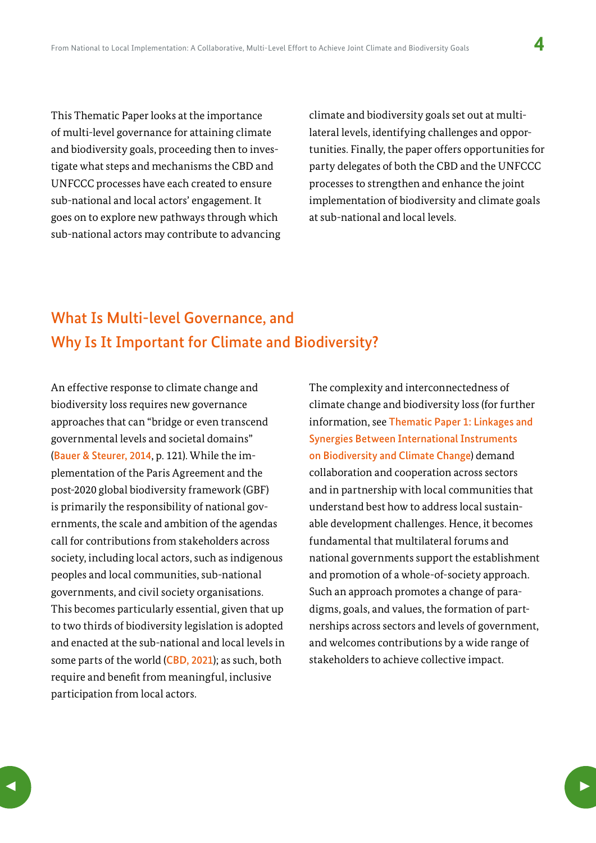This Thematic Paper looks at the importance of multi-level governance for attaining climate and biodiversity goals, proceeding then to investigate what steps and mechanisms the CBD and UNFCCC processes have each created to ensure sub-national and local actors' engagement. It goes on to explore new pathways through which sub-national actors may contribute to advancing

climate and biodiversity goals set out at multilateral levels, identifying challenges and opportunities. Finally, the paper offers opportunities for party delegates of both the CBD and the UNFCCC processes to strengthen and enhance the joint implementation of biodiversity and climate goals at sub-national and local levels.

## What Is Multi-level Governance, and Why Is It Important for Climate and Biodiversity?

An effective response to climate change and biodiversity loss requires new governance approaches that can "bridge or even transcend governmental levels and societal domains" ([Bauer & Steurer, 2014](https://boku.ac.at/fileadmin/data/H03000/H73000/H73200/InFER_Discussion_Papers/InFER_DP_14_1_Multi-level_governance_of_climate_change_adaptation.pdf), p. 121). While the implementation of the Paris Agreement and the post-2020 global biodiversity framework (GBF) is primarily the responsibility of national governments, the scale and ambition of the agendas call for contributions from stakeholders across society, including local actors, such as indigenous peoples and local communities, sub-national governments, and civil society organisations. This becomes particularly essential, given that up to two thirds of biodiversity legislation is adopted and enacted at the sub-national and local levels in some parts of the world ([CBD, 2021](https://www.cbd.int/doc/c/0b09/511f/8eeb6c298438b93c6b20af91/sbi-03-19-en.pdf)); as such, both require and benefit from meaningful, inclusive participation from local actors.

The complexity and interconnectedness of climate change and biodiversity loss (for further information, see [Thematic Paper 1: Linkages and](https://www.adaptationcommunity.net/wp-content/uploads/2022/05/01-thematic-paper-synergies-biodiv-climate-instruments-giz-iisd-ufz.pdf)  [Synergies Between International Instruments](https://www.adaptationcommunity.net/wp-content/uploads/2022/05/01-thematic-paper-synergies-biodiv-climate-instruments-giz-iisd-ufz.pdf)  [on Biodiversity and Climate Change](https://www.adaptationcommunity.net/wp-content/uploads/2022/05/01-thematic-paper-synergies-biodiv-climate-instruments-giz-iisd-ufz.pdf)) demand collaboration and cooperation across sectors and in partnership with local communities that understand best how to address local sustainable development challenges. Hence, it becomes fundamental that multilateral forums and national governments support the establishment and promotion of a whole-of-society approach. Such an approach promotes a change of paradigms, goals, and values, the formation of partnerships across sectors and levels of government, and welcomes contributions by a wide range of stakeholders to achieve collective impact.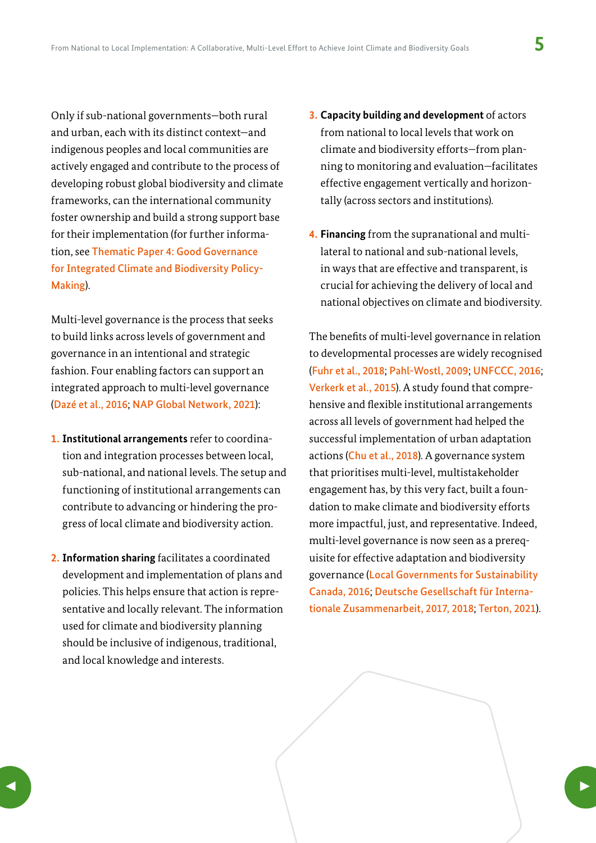Only if sub-national governments—both rural and urban, each with its distinct context—and indigenous peoples and local communities are actively engaged and contribute to the process of developing robust global biodiversity and climate frameworks, can the international community foster ownership and build a strong support base for their implementation (for further information, see [Thematic Paper 4: Good Governance](https://www.adaptationcommunity.net/wp-content/uploads/2022/05/04-thematic-paper-good-governance_biodiv-climate-policymaking-giz-iisd-ufz.pdf)  [for Integrated Climate and Biodiversity Policy-](https://www.adaptationcommunity.net/wp-content/uploads/2022/05/04-thematic-paper-good-governance_biodiv-climate-policymaking-giz-iisd-ufz.pdf)[Making](https://www.adaptationcommunity.net/wp-content/uploads/2022/05/04-thematic-paper-good-governance_biodiv-climate-policymaking-giz-iisd-ufz.pdf)).

Multi-level governance is the process that seeks to build links across levels of government and governance in an intentional and strategic fashion. Four enabling factors can support an integrated approach to multi-level governance ([Dazé et al., 2016](https://www.iisd.org/reader/napgn-en-2016-vertical-integration-in-nap-processes); [NAP Global Network, 2021](https://napglobalnetwork.org/themes/vertical-integration/)):

- **1. Institutional arrangements** refer to coordination and integration processes between local, sub-national, and national levels. The setup and functioning of institutional arrangements can contribute to advancing or hindering the progress of local climate and biodiversity action.
- **2. Information sharing** facilitates a coordinated development and implementation of plans and policies. This helps ensure that action is representative and locally relevant. The information used for climate and biodiversity planning should be inclusive of indigenous, traditional, and local knowledge and interests.
- **3. Capacity building and development** of actors from national to local levels that work on climate and biodiversity efforts—from planning to monitoring and evaluation—facilitates effective engagement vertically and horizontally (across sectors and institutions).
- **4. Financing** from the supranational and multilateral to national and sub-national levels, in ways that are effective and transparent, is crucial for achieving the delivery of local and national objectives on climate and biodiversity.

The benefits of multi-level governance in relation to developmental processes are widely recognised ([Fuhr et al., 2018](https://research.abo.fi/en/publications/the-role-of-cities-in-multi-level-climate-governance-local-climat); [Pahl-Wostl, 2009](https://www.sciencedirect.com/science/article/abs/pii/S0959378009000429); [UNFCCC, 2016](https://unfccc.int/sites/default/files/20160525_bog1_reporting.pdf); [Verkerk et al., 2015](https://repub.eur.nl/pub/86901/)). A study found that comprehensive and flexible institutional arrangements across all levels of government had helped the successful implementation of urban adaptation actions ([Chu et al., 2018](https://www.tandfonline.com/doi/abs/10.1080/17535069.2019.1670410)). A governance system that prioritises multi-level, multistakeholder engagement has, by this very fact, built a foundation to make climate and biodiversity efforts more impactful, just, and representative. Indeed, multi-level governance is now seen as a prerequisite for effective adaptation and biodiversity governance ([Local Governments for Sustainability](https://icleicanada.org/wp-content/uploads/2019/07/Making-Strides-on-Community-Adaptation.pdf)  [Canada, 2016](https://icleicanada.org/wp-content/uploads/2019/07/Making-Strides-on-Community-Adaptation.pdf); [Deutsche Gesellschaft für Interna](https://www.climate-chance.org/en/library/enabling-subnational-climate-action-through-multi-level-governance/)[tionale Zusammenarbeit, 2017](https://www.climate-chance.org/en/library/enabling-subnational-climate-action-through-multi-level-governance/)[, 2018](https://collaborative-climate-action.org/wp-content/uploads/2019/11/Multi-Level-Climate-Governance.pdf); [Terton, 2021](https://collaborative-climate-action.org/multi-level-climate-governance-supporting-local-action/)).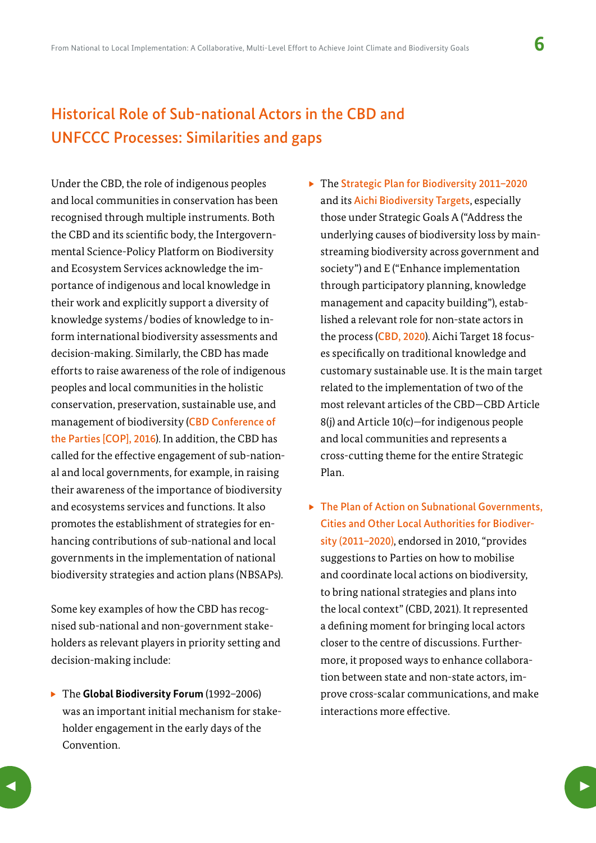# Historical Role of Sub-national Actors in the CBD and UNFCCC Processes: Similarities and gaps

Under the CBD, the role of indigenous peoples and local communities in conservation has been recognised through multiple instruments. Both the CBD and its scientific body, the Intergovernmental Science-Policy Platform on Biodiversity and Ecosystem Services acknowledge the importance of indigenous and local knowledge in their work and explicitly support a diversity of knowledge systems /bodies of knowledge to inform international biodiversity assessments and decision-making. Similarly, the CBD has made efforts to raise awareness of the role of indigenous peoples and local communities in the holistic conservation, preservation, sustainable use, and management of biodiversity ([CBD Conference of](https://www.cbd.int/doc/decisions/cop-13/cop-13-dec-03-en.pdf)  [the Parties \[COP\], 2016](https://www.cbd.int/doc/decisions/cop-13/cop-13-dec-03-en.pdf)). In addition, the CBD has called for the effective engagement of sub-national and local governments, for example, in raising their awareness of the importance of biodiversity and ecosystems services and functions. It also promotes the establishment of strategies for enhancing contributions of sub-national and local governments in the implementation of national biodiversity strategies and action plans (NBSAPs).

Some key examples of how the CBD has recognised sub-national and non-government stakeholders as relevant players in priority setting and decision-making include:

▶ The **Global Biodiversity Forum** (1992-2006) was an important initial mechanism for stakeholder engagement in the early days of the Convention.

- ▶ The Strategic Plan for Biodiversity 2011-2020 and its [Aichi Biodiversity Targets](https://www.cbd.int/sp/targets/), especially those under Strategic Goals A ("Address the underlying causes of biodiversity loss by mainstreaming biodiversity across government and society") and E ("Enhance implementation through participatory planning, knowledge management and capacity building"), established a relevant role for non-state actors in the process ([CBD, 2020](https://www.cbd.int/sp/targets/)). Aichi Target 18 focuses specifically on traditional knowledge and customary sustainable use. It is the main target related to the implementation of two of the most relevant articles of the CBD—CBD Article 8(i) and Article 10(c)-for indigenous people and local communities and represents a cross-cutting theme for the entire Strategic Plan.
- $\triangleright$  The Plan of Action on Subnational Governments, [Cities and Other Local Authorities for Biodiver](https://www.cbd.int/kb/record/decision/12288?RecordType=decision)[sity \(2011–2020\)](https://www.cbd.int/kb/record/decision/12288?RecordType=decision), endorsed in 2010, "provides suggestions to Parties on how to mobilise and coordinate local actions on biodiversity, to bring national strategies and plans into the local context" (CBD, 2021). It represented a defining moment for bringing local actors closer to the centre of discussions. Furthermore, it proposed ways to enhance collaboration between state and non-state actors, improve cross-scalar communications, and make interactions more effective.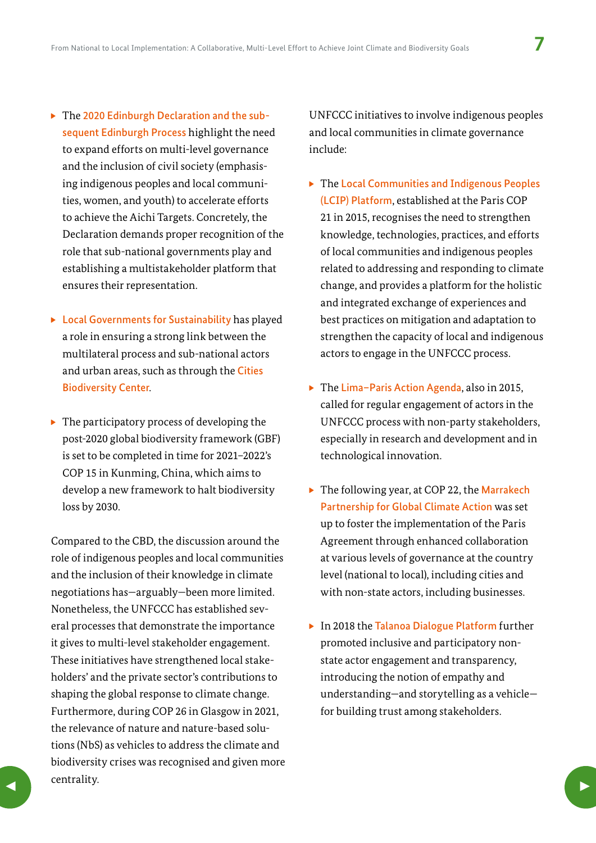- $\triangleright$  The [2020 Edinburgh Declaration and the sub](https://www.gov.scot/publications/edinburgh-declaration-on-post-2020-biodiversity-framework/pages/how-to-sign/)[sequent Edinburgh Process](https://www.gov.scot/publications/edinburgh-declaration-on-post-2020-biodiversity-framework/pages/how-to-sign/) highlight the need to expand efforts on multi-level governance and the inclusion of civil society (emphasising indigenous peoples and local communities, women, and youth) to accelerate efforts to achieve the Aichi Targets. Concretely, the Declaration demands proper recognition of the role that sub-national governments play and establishing a multistakeholder platform that ensures their representation.
- $\triangleright$  [Local Governments for Sustainability](https://cbc.iclei.org/) has played a role in ensuring a strong link between the multilateral process and sub-national actors and urban areas, such as through the [Cities](https://cbc.iclei.org/)  [Biodiversity Center](https://cbc.iclei.org/).
- $\triangleright$  The participatory process of developing the post-2020 global biodiversity framework (GBF) is set to be completed in time for 2021–2022's COP 15 in Kunming, China, which aims to develop a new framework to halt biodiversity loss by 2030.

Compared to the CBD, the discussion around the role of indigenous peoples and local communities and the inclusion of their knowledge in climate negotiations has—arguably—been more limited. Nonetheless, the UNFCCC has established several processes that demonstrate the importance it gives to multi-level stakeholder engagement. These initiatives have strengthened local stakeholders' and the private sector's contributions to shaping the global response to climate change. Furthermore, during COP 26 in Glasgow in 2021, the relevance of nature and nature-based solutions (NbS) as vehicles to address the climate and biodiversity crises was recognised and given more centrality.  $\sum_{i=1}^{n}$ 

UNFCCC initiatives to involve indigenous peoples and local communities in climate governance include:

- $\blacktriangleright$  The Local Communities and Indigenous Peoples [\(LCIP\) Platform](https://unfccc.int/LCIPP), established at the Paris COP 21 in 2015, recognises the need to strengthen knowledge, technologies, practices, and efforts of local communities and indigenous peoples related to addressing and responding to climate change, and provides a platform for the holistic and integrated exchange of experiences and best practices on mitigation and adaptation to strengthen the capacity of local and indigenous actors to engage in the UNFCCC process.
- $\triangleright$  The [Lima–Paris Action Agenda](https://unfccc.int/media/509508/lpaa-primer.pdf), also in 2015, called for regular engagement of actors in the UNFCCC process with non-party stakeholders, especially in research and development and in technological innovation.
- $\triangleright$  The following year, at COP 22, the Marrakech [Partnership for Global Climate Action](https://unfccc.int/climate-action/marrakech-partnership-for-global-climate-action) was set up to foster the implementation of the Paris Agreement through enhanced collaboration at various levels of governance at the country level (national to local), including cities and with non-state actors, including businesses.
- $\triangleright$  In 2018 the [Talanoa Dialogue Platform](https://unfccc.int/process-and-meetings/the-paris-agreement/the-paris-agreement/2018-talanoa-dialogue-platform) further promoted inclusive and participatory nonstate actor engagement and transparency, introducing the notion of empathy and understanding—and storytelling as a vehicle for building trust among stakeholders.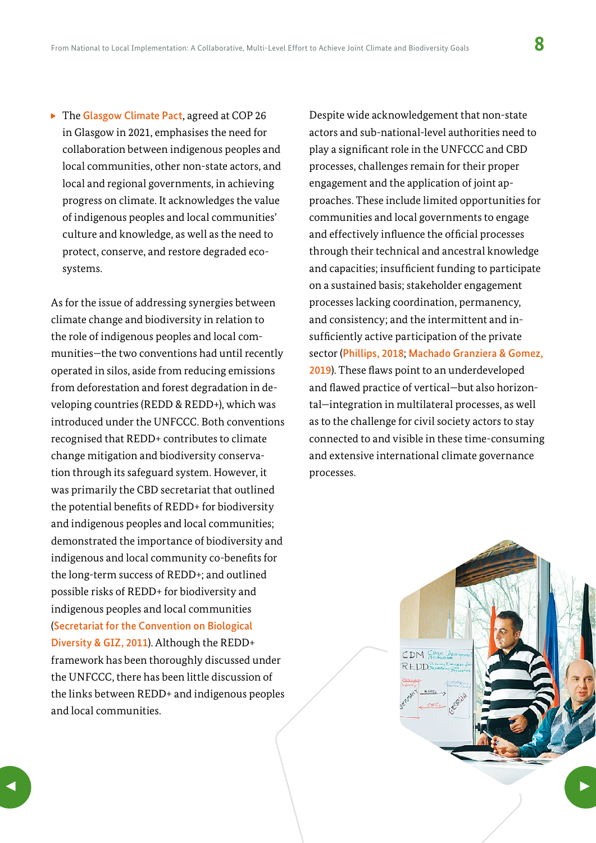<span id="page-7-0"></span> $\triangleright$  The [Glasgow Climate Pact](https://unfccc.int/sites/default/files/resource/cop26_auv_2f_cover_decision.pdf), agreed at COP 26 in Glasgow in 2021, emphasises the need for collaboration between indigenous peoples and local communities, other non-state actors, and local and regional governments, in achieving progress on climate. It acknowledges the value of indigenous peoples and local communities' culture and knowledge, as well as the need to protect, conserve, and restore degraded ecosystems.

As for the issue of addressing synergies between climate change and biodiversity in relation to the role of indigenous peoples and local communities—the two conventions had until recently operated in silos, aside from reducing emissions from deforestation and forest degradation in developing countries (REDD & REDD+), which was introduced under the UNFCCC. Both conventions recognised that REDD+ contributes to climate change mitigation and biodiversity conservation through its safeguard system. However, it was primarily the CBD secretariat that outlined the potential benefits of REDD+ for biodiversity and indigenous peoples and local communities; demonstrated the importance of biodiversity and indigenous and local community co-benefits for the long-term success of REDD+; and outlined possible risks of REDD+ for biodiversity and indigenous peoples and local communities ([Secretariat for the Convention on Biological](https://www.cbd.int/doc/publications/for-redd-en.pdf)  [Diversity & GIZ, 2011](https://www.cbd.int/doc/publications/for-redd-en.pdf)). Although the REDD+ framework has been thoroughly discussed under the UNFCCC, there has been little discussion of the links between REDD+ and indigenous peoples and local communities.

Despite wide acknowledgement that non-state actors and sub-national-level authorities need to play a significant role in the UNFCCC and CBD processes, challenges remain for their proper engagement and the application of joint approaches. These include limited opportunities for communities and local governments to engage and effectively influence the official processes through their technical and ancestral knowledge and capacities; insufficient funding to participate on a sustained basis; stakeholder engagement processes lacking coordination, permanency, and consistency; and the intermittent and insufficiently active participation of the private sector ([Phillips, 2018](https://www.cigionline.org/publications/participation-non-party-stakeholders-under-unfccc-options-future-engagement/); [Machado Granziera & Gomez,](https://www.cbd.int/doc/nbsap/sbsap/mainstreaming-biodiversity-subnational.pdf)  [2019](https://www.cbd.int/doc/nbsap/sbsap/mainstreaming-biodiversity-subnational.pdf)). These flaws point to an underdeveloped and flawed practice of vertical—but also horizontal—integration in multilateral processes, as well as to the challenge for civil society actors to stay connected to and visible in these time-consuming and extensive international climate governance processes.

> CDM Flean Den  $R$   $E$   $D$  $D$  $E$  $E$

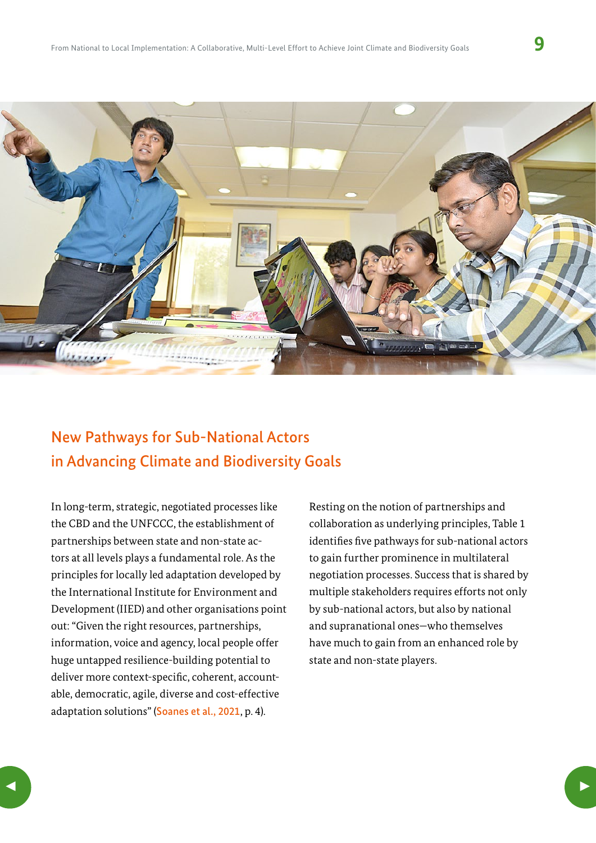

## New Pathways for Sub-National Actors in Advancing Climate and Biodiversity Goals

In long-term, strategic, negotiated processes like the CBD and the UNFCCC, the establishment of partnerships between state and non-state actors at all levels plays a fundamental role. As the principles for locally led adaptation developed by the International Institute for Environment and Development (IIED) and other organisations point out: "Given the right resources, partnerships, information, voice and agency, local people offer huge untapped resilience-building potential to deliver more context-specific, coherent, accountable, democratic, agile, diverse and cost-effective adaptation solutions" ([Soanes et al., 2021](https://pubs.iied.org/10211iied), p. 4).

Resting on the notion of partnerships and collaboration as underlying principles, Table 1 identifies five pathways for sub-national actors to gain further prominence in multilateral negotiation processes. Success that is shared by multiple stakeholders requires efforts not only by sub-national actors, but also by national and supranational ones—who themselves have much to gain from an enhanced role by state and non-state players.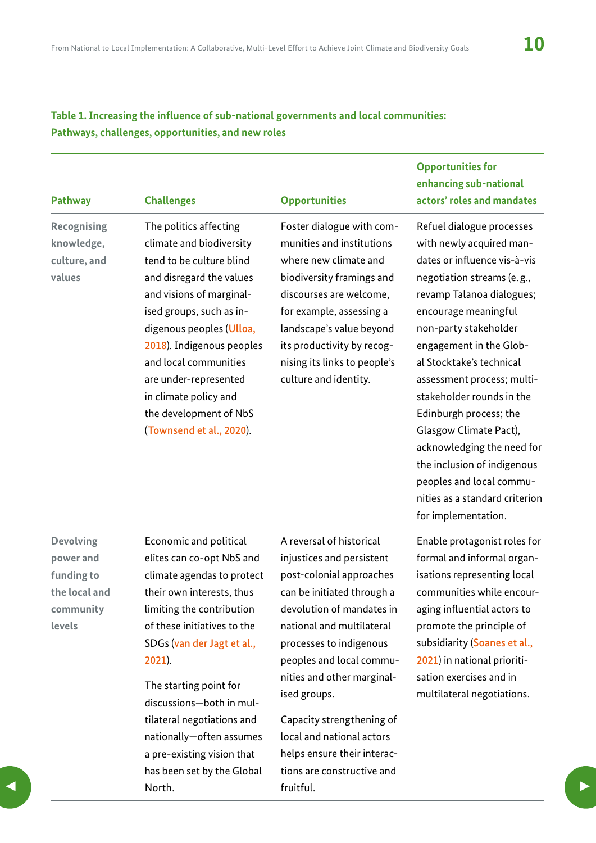### **Table 1. Increasing the influence of sub-national governments and local communities: Pathways, challenges, opportunities, and new roles**

| <b>Pathway</b>                                                                      | <b>Challenges</b>                                                                                                                                                                                                                                                                                                                                            | <b>Opportunities</b>                                                                                                                                                                                                                                                                   | <b>Opportunities for</b><br>enhancing sub-national<br>actors' roles and mandates                                                                                                                                                                                                                                                                                                                                                                                                                                          |
|-------------------------------------------------------------------------------------|--------------------------------------------------------------------------------------------------------------------------------------------------------------------------------------------------------------------------------------------------------------------------------------------------------------------------------------------------------------|----------------------------------------------------------------------------------------------------------------------------------------------------------------------------------------------------------------------------------------------------------------------------------------|---------------------------------------------------------------------------------------------------------------------------------------------------------------------------------------------------------------------------------------------------------------------------------------------------------------------------------------------------------------------------------------------------------------------------------------------------------------------------------------------------------------------------|
| <b>Recognising</b><br>knowledge,<br>culture, and<br>values                          | The politics affecting<br>climate and biodiversity<br>tend to be culture blind<br>and disregard the values<br>and visions of marginal-<br>ised groups, such as in-<br>digenous peoples (Ulloa,<br>2018). Indigenous peoples<br>and local communities<br>are under-represented<br>in climate policy and<br>the development of NbS<br>(Townsend et al., 2020). | Foster dialogue with com-<br>munities and institutions<br>where new climate and<br>biodiversity framings and<br>discourses are welcome,<br>for example, assessing a<br>landscape's value beyond<br>its productivity by recog-<br>nising its links to people's<br>culture and identity. | Refuel dialogue processes<br>with newly acquired man-<br>dates or influence vis-à-vis<br>negotiation streams (e.g.,<br>revamp Talanoa dialogues;<br>encourage meaningful<br>non-party stakeholder<br>engagement in the Glob-<br>al Stocktake's technical<br>assessment process; multi-<br>stakeholder rounds in the<br>Edinburgh process; the<br>Glasgow Climate Pact),<br>acknowledging the need for<br>the inclusion of indigenous<br>peoples and local commu-<br>nities as a standard criterion<br>for implementation. |
| <b>Devolving</b><br>power and<br>funding to<br>the local and<br>community<br>levels | Economic and political<br>elites can co-opt NbS and<br>climate agendas to protect<br>their own interests, thus<br>limiting the contribution<br>of these initiatives to the<br>SDGs (von der loot et ol                                                                                                                                                       | A reversal of historical<br>injustices and persistent<br>post-colonial approaches<br>can be initiated through a<br>devolution of mandates in<br>national and multilateral<br>processes to indigenous                                                                                   | Enable protagonist roles for<br>formal and informal organ-<br>isations representing local<br>communities while encour-<br>aging influential actors to<br>promote the principle of<br>cuhcidiarity (Soange et al.                                                                                                                                                                                                                                                                                                          |

SDGs ([van der Jagt et al.,](https://www.semanticscholar.org/paper/Nature-Based-Solutions-or-Debacles-The-Politics-of-Jagt-Kiss/77bce717dcfed7018e4809cdfe5aade8b6497bda)  [2021](https://www.semanticscholar.org/paper/Nature-Based-Solutions-or-Debacles-The-Politics-of-Jagt-Kiss/77bce717dcfed7018e4809cdfe5aade8b6497bda)). The starting point for discussions—both in multilateral negotiations and

nationally—often assumes a pre-existing vision that has been set by the Global North. **3** North. **Example 2 Security 19 Contract Contract Contract Contract Contract Contract Contract Contract Contract Contract Contract Contract Contract Contract Contract Contract Contract Contract Contract Contract Cont** 

processes to indigenous peoples and local communities and other marginalised groups.

Capacity strengthening of local and national actors helps ensure their interactions are constructive and fruitful.

subsidiarity ([Soanes et al.,](https://pubs.iied.org/10211iied)  [2021](https://pubs.iied.org/10211iied)) in national prioritisation exercises and in multilateral negotiations.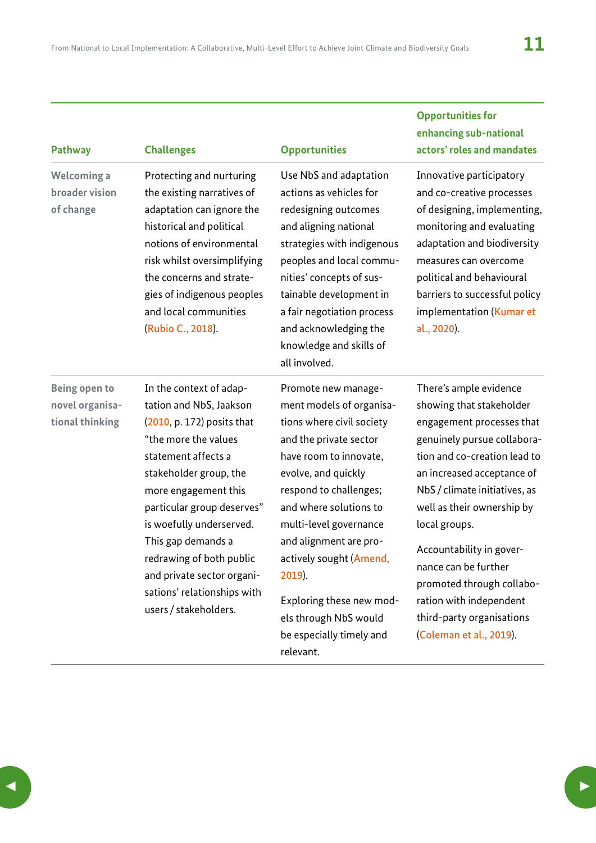**Opportunities for** 

| <b>Challenges</b>                                                                                                                                                                                                                                                                                                                                                                   | <b>Opportunities</b>                                                                                                                                                                                                                                                                                                                                                                  | enhancing sub-national<br>actors' roles and mandates                                                                                                                                                                                                                                                                                                                                                                             |
|-------------------------------------------------------------------------------------------------------------------------------------------------------------------------------------------------------------------------------------------------------------------------------------------------------------------------------------------------------------------------------------|---------------------------------------------------------------------------------------------------------------------------------------------------------------------------------------------------------------------------------------------------------------------------------------------------------------------------------------------------------------------------------------|----------------------------------------------------------------------------------------------------------------------------------------------------------------------------------------------------------------------------------------------------------------------------------------------------------------------------------------------------------------------------------------------------------------------------------|
| Protecting and nurturing<br>the existing narratives of<br>adaptation can ignore the<br>historical and political<br>notions of environmental<br>risk whilst oversimplifying<br>the concerns and strate-<br>gies of indigenous peoples<br>and local communities<br>(Rubio C., 2018).                                                                                                  | Use NbS and adaptation<br>actions as vehicles for<br>redesigning outcomes<br>and aligning national<br>strategies with indigenous<br>peoples and local commu-<br>nities' concepts of sus-<br>tainable development in<br>a fair negotiation process<br>and acknowledging the<br>knowledge and skills of<br>all involved.                                                                | Innovative participatory<br>and co-creative processes<br>of designing, implementing,<br>monitoring and evaluating<br>adaptation and biodiversity<br>measures can overcome<br>political and behavioural<br>barriers to successful policy<br>implementation (Kumar et<br>al., 2020).                                                                                                                                               |
| In the context of adap-<br>tation and NbS, Jaakson<br>(2010, p. 172) posits that<br>"the more the values<br>statement affects a<br>stakeholder group, the<br>more engagement this<br>particular group deserves"<br>is woefully underserved.<br>This gap demands a<br>redrawing of both public<br>and private sector organi-<br>sations' relationships with<br>users / stakeholders. | Promote new manage-<br>ment models of organisa-<br>tions where civil society<br>and the private sector<br>have room to innovate,<br>evolve, and quickly<br>respond to challenges;<br>and where solutions to<br>multi-level governance<br>and alignment are pro-<br>actively sought (Amend,<br>2019).<br>Exploring these new mod-<br>els through NbS would<br>be especially timely and | There's ample evidence<br>showing that stakeholder<br>engagement processes that<br>genuinely pursue collabora-<br>tion and co-creation lead to<br>an increased acceptance of<br>NbS / climate initiatives, as<br>well as their ownership by<br>local groups.<br>Accountability in gover-<br>nance can be further<br>promoted through collabo-<br>ration with independent<br>third-party organisations<br>(Coleman et al., 2019). |
|                                                                                                                                                                                                                                                                                                                                                                                     |                                                                                                                                                                                                                                                                                                                                                                                       |                                                                                                                                                                                                                                                                                                                                                                                                                                  |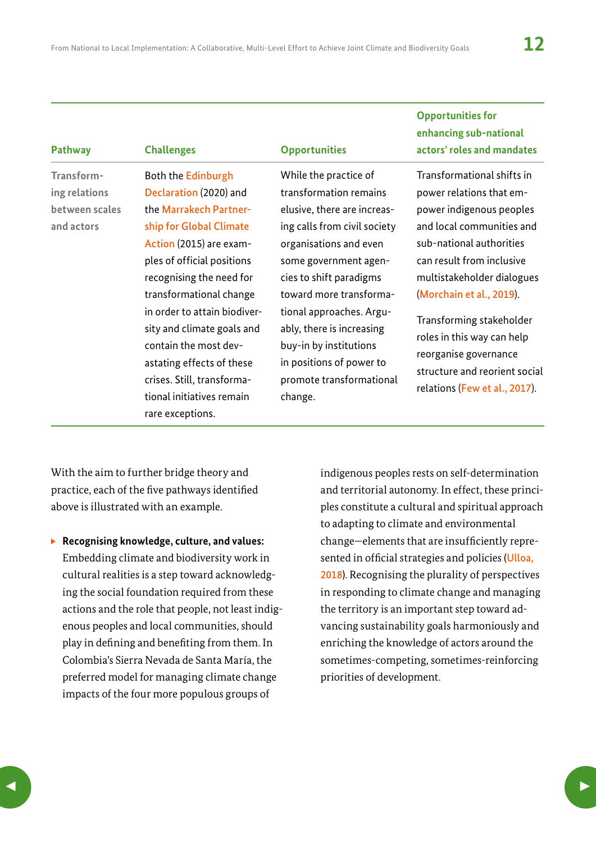**Opportunities for** 

| <b>Pathway</b>                                              | <b>Challenges</b>                                                                                                                                                                                                                                                                                                                                                                                                    | <b>Opportunities</b>                                                                                                                                                                                                                                                                                                                                                          | enhancing sub-national<br>actors' roles and mandates                                                                                                                                                                                                                                                                                                                                    |
|-------------------------------------------------------------|----------------------------------------------------------------------------------------------------------------------------------------------------------------------------------------------------------------------------------------------------------------------------------------------------------------------------------------------------------------------------------------------------------------------|-------------------------------------------------------------------------------------------------------------------------------------------------------------------------------------------------------------------------------------------------------------------------------------------------------------------------------------------------------------------------------|-----------------------------------------------------------------------------------------------------------------------------------------------------------------------------------------------------------------------------------------------------------------------------------------------------------------------------------------------------------------------------------------|
| Transform-<br>ing relations<br>between scales<br>and actors | Both the Edinburgh<br>Declaration (2020) and<br>the Marrakech Partner-<br>ship for Global Climate<br>Action (2015) are exam-<br>ples of official positions<br>recognising the need for<br>transformational change<br>in order to attain biodiver-<br>sity and climate goals and<br>contain the most dev-<br>astating effects of these<br>crises. Still, transforma-<br>tional initiatives remain<br>rare exceptions. | While the practice of<br>transformation remains<br>elusive, there are increas-<br>ing calls from civil society<br>organisations and even<br>some government agen-<br>cies to shift paradigms<br>toward more transforma-<br>tional approaches. Argu-<br>ably, there is increasing<br>buy-in by institutions<br>in positions of power to<br>promote transformational<br>change. | Transformational shifts in<br>power relations that em-<br>power indigenous peoples<br>and local communities and<br>sub-national authorities<br>can result from inclusive<br>multistakeholder dialogues<br>(Morchain et al., 2019).<br>Transforming stakeholder<br>roles in this way can help<br>reorganise governance<br>structure and reorient social<br>relations (Few et al., 2017). |

With the aim to further bridge theory and practice, each of the five pathways identified above is illustrated with an example.

▶ Recognising knowledge, culture, and values: Embedding climate and biodiversity work in cultural realities is a step toward acknowledging the social foundation required from these actions and the role that people, not least indigenous peoples and local communities, should play in defining and benefiting from them. In Colombia's Sierra Nevada de Santa María, the preferred model for managing climate change impacts of the four more populous groups of

indigenous peoples rests on self-determination and territorial autonomy. In effect, these principles constitute a cultural and spiritual approach to adapting to climate and environmental change—elements that are insufficiently represented in official strategies and policies ([Ulloa,](https://www.researchgate.net/publication/329691943_Reconfiguring_climate_change_adaptation_policy_Discourses_Policies_and_Practices)  [2018](https://www.researchgate.net/publication/329691943_Reconfiguring_climate_change_adaptation_policy_Discourses_Policies_and_Practices)). Recognising the plurality of perspectives in responding to climate change and managing the territory is an important step toward advancing sustainability goals harmoniously and enriching the knowledge of actors around the sometimes-competing, sometimes-reinforcing priorities of development.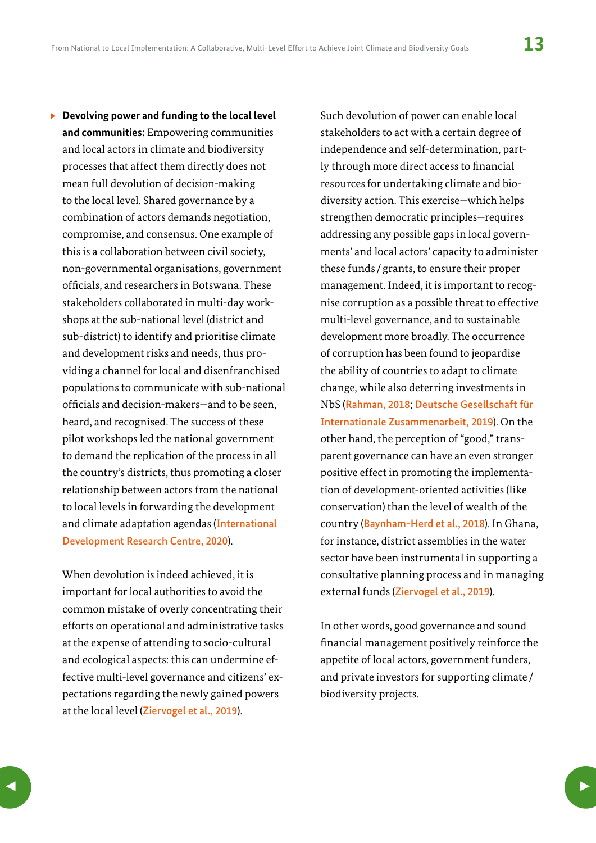▶ Devolving power and funding to the local level **and communities:** Empowering communities and local actors in climate and biodiversity processes that affect them directly does not mean full devolution of decision-making to the local level. Shared governance by a combination of actors demands negotiation, compromise, and consensus. One example of this is a collaboration between civil society, non-governmental organisations, government officials, and researchers in Botswana. These stakeholders collaborated in multi-day workshops at the sub-national level (district and sub-district) to identify and prioritise climate and development risks and needs, thus providing a channel for local and disenfranchised populations to communicate with sub-national officials and decision-makers—and to be seen, heard, and recognised. The success of these pilot workshops led the national government to demand the replication of the process in all the country's districts, thus promoting a closer relationship between actors from the national to local levels in forwarding the development and climate adaptation agendas ([International](https://www.idrc.ca/en/initiative/collaborative-adaptation-research-initiative-africa-and-asia)  [Development Research Centre, 2020](https://www.idrc.ca/en/initiative/collaborative-adaptation-research-initiative-africa-and-asia)).

When devolution is indeed achieved, it is important for local authorities to avoid the common mistake of overly concentrating their efforts on operational and administrative tasks at the expense of attending to socio-cultural and ecological aspects: this can undermine effective multi-level governance and citizens' expectations regarding the newly gained powers at the local level ([Ziervogel et al., 2019](https://link.springer.com/article/10.1007/s10113-019-01571-y)).

Such devolution of power can enable local stakeholders to act with a certain degree of independence and self-determination, partly through more direct access to financial resources for undertaking climate and biodiversity action. This exercise—which helps strengthen democratic principles—requires addressing any possible gaps in local governments' and local actors' capacity to administer these funds / grants, to ensure their proper management. Indeed, it is important to recognise corruption as a possible threat to effective multi-level governance, and to sustainable development more broadly. The occurrence of corruption has been found to jeopardise the ability of countries to adapt to climate change, while also deterring investments in NbS ([Rahman, 2018](https://doi.org/10.1007/s10584-018-2139-9); [Deutsche Gesellschaft für](https://www.adaptationcommunity.net/wp-content/uploads/2019/09/giz2019-en-eba-governance-study-low-res.pdf)  [Internationale Zusammenarbeit, 2019](https://www.adaptationcommunity.net/wp-content/uploads/2019/09/giz2019-en-eba-governance-study-low-res.pdf)). On the other hand, the perception of "good," transparent governance can have an even stronger positive effect in promoting the implementation of development-oriented activities (like conservation) than the level of wealth of the country ([Baynham-Herd et al., 2018](https://www.cambridge.org/core/journals/environmental-conservation/article/governance-explains-variation-in-national-responses-to-the-biodiversity-crisis/2528FDE60EADD3DB9BD5A713B2EDD4B1)). In Ghana, for instance, district assemblies in the water sector have been instrumental in supporting a consultative planning process and in managing external funds ([Ziervogel et al., 2019](https://link.springer.com/article/10.1007/s10113-019-01571-y)).

In other words, good governance and sound financial management positively reinforce the appetite of local actors, government funders, and private investors for supporting climate / biodiversity projects.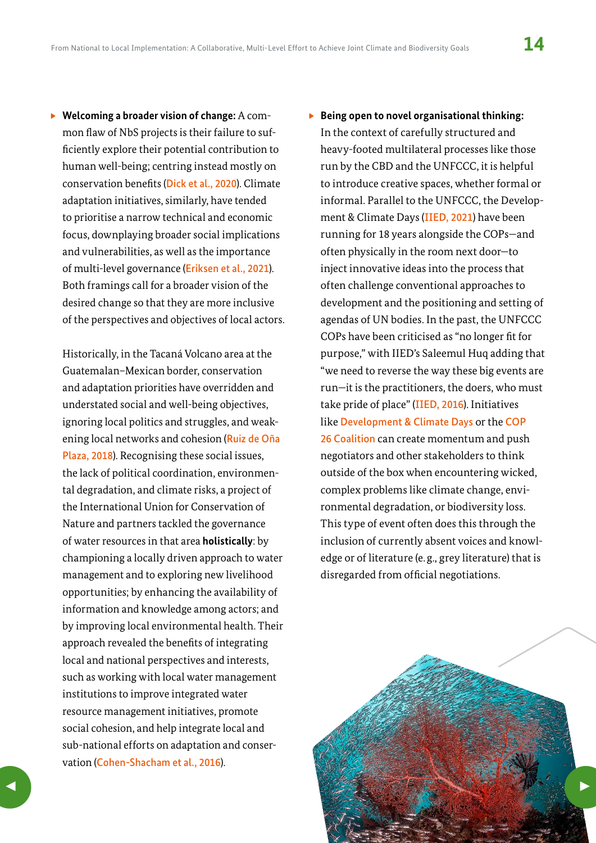<span id="page-13-0"></span>▶ Welcoming a broader vision of change: A common flaw of NbS projects is their failure to sufficiently explore their potential contribution to human well-being; centring instead mostly on conservation benefits ([Dick et al., 2020](https://environmentalevidencejournal.biomedcentral.com/articles/10.1186/s13750-019-0180-4)). Climate adaptation initiatives, similarly, have tended to prioritise a narrow technical and economic focus, downplaying broader social implications and vulnerabilities, as well as the importance of multi-level governance ([Eriksen et al., 2021](https://doi.org/10.1016/j.worlddev.2020.105383)). Both framings call for a broader vision of the desired change so that they are more inclusive of the perspectives and objectives of local actors.

Historically, in the Tacaná Volcano area at the Guatemalan–Mexican border, conservation and adaptation priorities have overridden and understated social and well-being objectives, ignoring local politics and struggles, and weakening local networks and cohesion ([Ruiz de Oña](https://www.taylorfrancis.com/chapters/edit/10.4324/9781315165448-9/adapting-borderlands-celia-ruiz-de-o%C3%B1a-plaza)  [Plaza, 2018](https://www.taylorfrancis.com/chapters/edit/10.4324/9781315165448-9/adapting-borderlands-celia-ruiz-de-o%C3%B1a-plaza)). Recognising these social issues, the lack of political coordination, environmental degradation, and climate risks, a project of the International Union for Conservation of Nature and partners tackled the governance of water resources in that area **holistically**: by championing a locally driven approach to water management and to exploring new livelihood opportunities; by enhancing the availability of information and knowledge among actors; and by improving local environmental health. Their approach revealed the benefits of integrating local and national perspectives and interests, such as working with local water management institutions to improve integrated water resource management initiatives, promote social cohesion, and help integrate local and sub-national efforts on adaptation and conservation ([Cohen-Shacham et al., 2016](https://portals.iucn.org/library/sites/library/files/documents/2016-036.pdf)).

### ▶ Being open to novel organisational thinking: In the context of carefully structured and heavy-footed multilateral processes like those run by the CBD and the UNFCCC, it is helpful to introduce creative spaces, whether formal or informal. Parallel to the UNFCCC, the Development & Climate Days ([IIED, 2021](https://www.iied.org/development-climate-days-history)) have been running for 18 years alongside the COPs—and often physically in the room next door—to inject innovative ideas into the process that often challenge conventional approaches to development and the positioning and setting of agendas of UN bodies. In the past, the UNFCCC COPs have been criticised as "no longer fit for purpose," with IIED's Saleemul Huq adding that "we need to reverse the way these big events are run—it is the practitioners, the doers, who must take pride of place" ([IIED, 2016](https://www.iied.org/local-voice-must-take-pride-place-dc-calls-for-inside-out-cop)). Initiatives like [Development & Climate Days](https://www.iied.org/development-climate-days-history) or the [COP](https://cop26coalition.org/)  [26 Coalition](https://cop26coalition.org/) can create momentum and push negotiators and other stakeholders to think outside of the box when encountering wicked, complex problems like climate change, environmental degradation, or biodiversity loss. This type of event often does this through the inclusion of currently absent voices and knowledge or of literature (e. g., grey literature) that is disregarded from official negotiations.

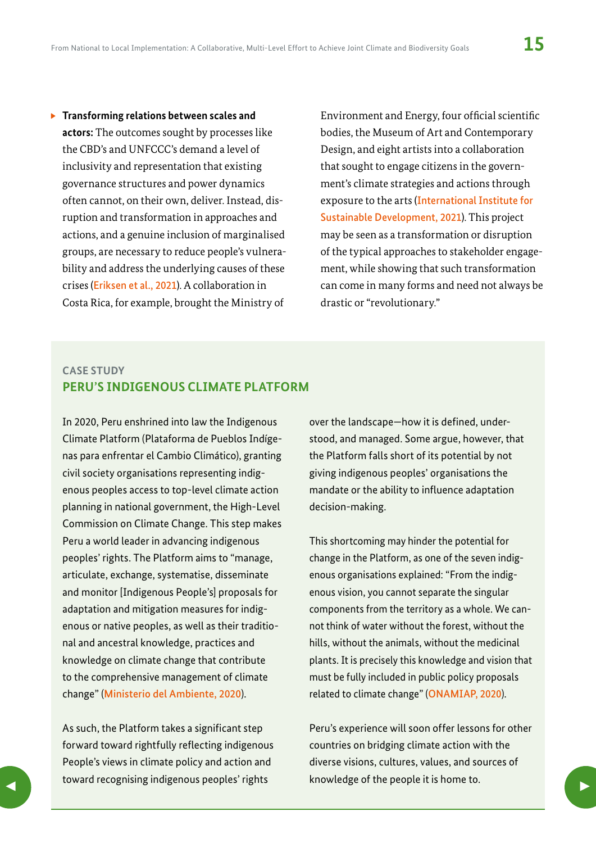**Figure 1** Transforming relations between scales and **actors:** The outcomes sought by processes like the CBD's and UNFCCC's demand a level of inclusivity and representation that existing governance structures and power dynamics often cannot, on their own, deliver. Instead, disruption and transformation in approaches and actions, and a genuine inclusion of marginalised groups, are necessary to reduce people's vulnerability and address the underlying causes of these crises ([Eriksen et al., 2021](https://doi.org/10.1016/j.worlddev.2020.105383)). A collaboration in Costa Rica, for example, brought the Ministry of

Environment and Energy, four official scientific bodies, the Museum of Art and Contemporary Design, and eight artists into a collaboration that sought to engage citizens in the government's climate strategies and actions through exposure to the arts ([International Institute for](https://www.iisd.org/articles/next-season-art-meets-science-new-exhibition-climate-crisis-costa-rica)  [Sustainable Development, 2021](https://www.iisd.org/articles/next-season-art-meets-science-new-exhibition-climate-crisis-costa-rica)). This project may be seen as a transformation or disruption of the typical approaches to stakeholder engagement, while showing that such transformation can come in many forms and need not always be drastic or "revolutionary."

#### **CASE STUDY PERU'S INDIGENOUS CLIMATE PLATFORM**

In 2020, Peru enshrined into law the Indigenous Climate Platform (Plataforma de Pueblos Indígenas para enfrentar el Cambio Climático), granting civil society organisations representing indigenous peoples access to top-level climate action planning in national government, the High-Level Commission on Climate Change. This step makes Peru a world leader in advancing indigenous peoples' rights. The Platform aims to "manage, articulate, exchange, systematise, disseminate and monitor [Indigenous People's] proposals for adaptation and mitigation measures for indigenous or native peoples, as well as their traditional and ancestral knowledge, practices and knowledge on climate change that contribute to the comprehensive management of climate change" ([Ministerio del Ambiente, 2020](https://www.gob.pe/institucion/minam/normas-legales/1224212-197-2020-minam)).

As such, the Platform takes a significant step forward toward rightfully reflecting indigenous People's views in climate policy and action and toward recognising indigenous peoples' rights toward recognising indigenous peoples rights and whowledge or the people it is nome to.

over the landscape—how it is defined, understood, and managed. Some argue, however, that the Platform falls short of its potential by not giving indigenous peoples' organisations the mandate or the ability to influence adaptation decision-making.

This shortcoming may hinder the potential for change in the Platform, as one of the seven indigenous organisations explained: "From the indigenous vision, you cannot separate the singular components from the territory as a whole. We cannot think of water without the forest, without the hills, without the animals, without the medicinal plants. It is precisely this knowledge and vision that must be fully included in public policy proposals related to climate change" ([ONAMIAP, 2020](http://onamiap.org/2020/10/onamiap-seguira-cumpliendo-un-rol-vigilante-frente-a-plataforma-climatica-indigena-recientemente-instalada/)).

Peru's experience will soon offer lessons for other countries on bridging climate action with the diverse visions, cultures, values, and sources of knowledge of the people it is home to.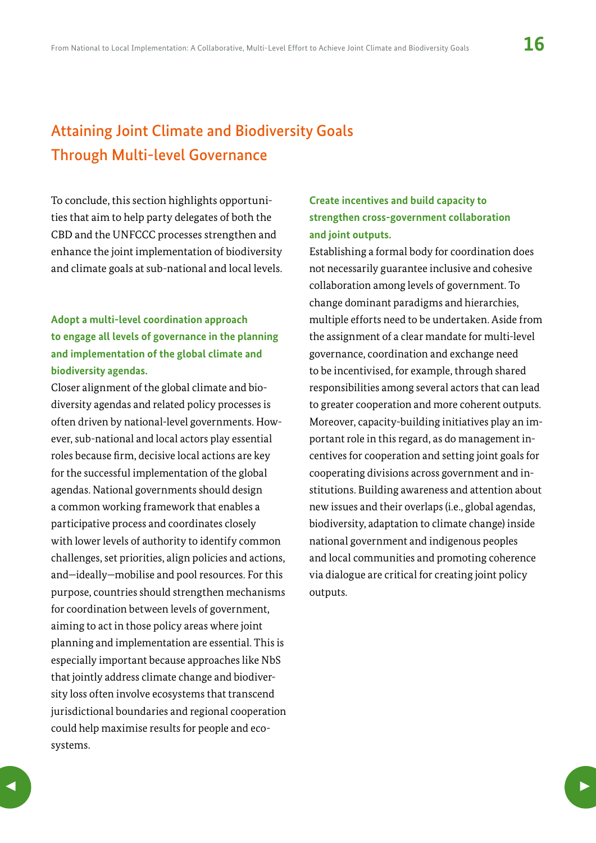# Attaining Joint Climate and Biodiversity Goals Through Multi-level Governance

To conclude, this section highlights opportunities that aim to help party delegates of both the CBD and the UNFCCC processes strengthen and enhance the joint implementation of biodiversity and climate goals at sub-national and local levels.

### **Adopt a multi-level coordination approach to engage all levels of governance in the planning and implementation of the global climate and biodiversity agendas.**

Closer alignment of the global climate and biodiversity agendas and related policy processes is often driven by national-level governments. However, sub-national and local actors play essential roles because firm, decisive local actions are key for the successful implementation of the global agendas. National governments should design a common working framework that enables a participative process and coordinates closely with lower levels of authority to identify common challenges, set priorities, align policies and actions, and—ideally—mobilise and pool resources. For this purpose, countries should strengthen mechanisms for coordination between levels of government, aiming to act in those policy areas where joint planning and implementation are essential. This is especially important because approaches like NbS that jointly address climate change and biodiversity loss often involve ecosystems that transcend jurisdictional boundaries and regional cooperation could help maximise results for people and ecosystems.

### **Create incentives and build capacity to strengthen cross-government collaboration and joint outputs.**

Establishing a formal body for coordination does not necessarily guarantee inclusive and cohesive collaboration among levels of government. To change dominant paradigms and hierarchies, multiple efforts need to be undertaken. Aside from the assignment of a clear mandate for multi-level governance, coordination and exchange need to be incentivised, for example, through shared responsibilities among several actors that can lead to greater cooperation and more coherent outputs. Moreover, capacity-building initiatives play an important role in this regard, as do management incentives for cooperation and setting joint goals for cooperating divisions across government and institutions. Building awareness and attention about new issues and their overlaps (i.e., global agendas, biodiversity, adaptation to climate change) inside national government and indigenous peoples and local communities and promoting coherence via dialogue are critical for creating joint policy outputs.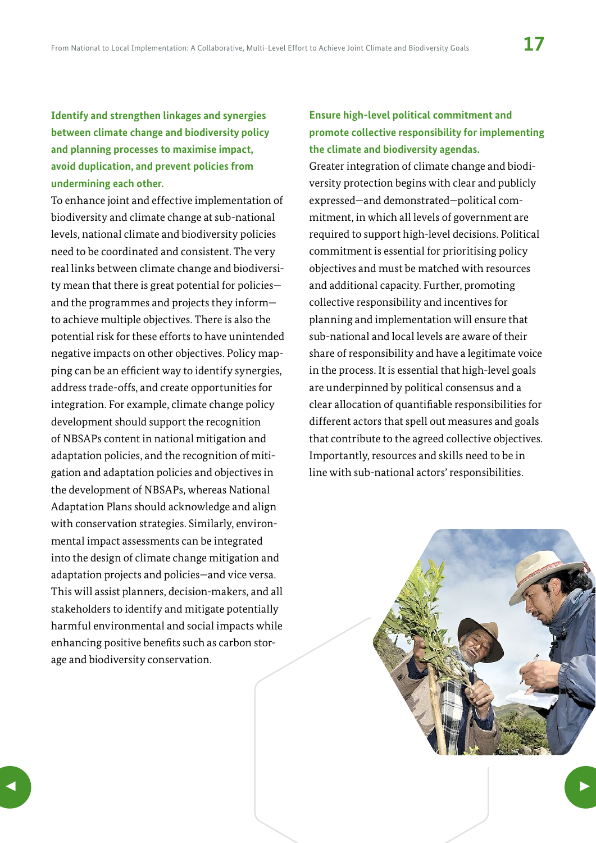<span id="page-16-0"></span>**Identify and strengthen linkages and synergies between climate change and biodiversity policy and planning processes to maximise impact, avoid duplication, and prevent policies from undermining each other.** 

To enhance joint and effective implementation of biodiversity and climate change at sub-national levels, national climate and biodiversity policies need to be coordinated and consistent. The very real links between climate change and biodiversity mean that there is great potential for policies and the programmes and projects they inform to achieve multiple objectives. There is also the potential risk for these efforts to have unintended negative impacts on other objectives. Policy mapping can be an efficient way to identify synergies, address trade-offs, and create opportunities for integration. For example, climate change policy development should support the recognition of NBSAPs content in national mitigation and adaptation policies, and the recognition of mitigation and adaptation policies and objectives in the development of NBSAPs, whereas National Adaptation Plans should acknowledge and align with conservation strategies. Similarly, environmental impact assessments can be integrated into the design of climate change mitigation and adaptation projects and policies—and vice versa. This will assist planners, decision-makers, and all stakeholders to identify and mitigate potentially harmful environmental and social impacts while enhancing positive benefits such as carbon storage and biodiversity conservation.

### **Ensure high-level political commitment and promote collective responsibility for implementing the climate and biodiversity agendas.**

Greater integration of climate change and biodiversity protection begins with clear and publicly expressed—and demonstrated—political commitment, in which all levels of government are required to support high-level decisions. Political commitment is essential for prioritising policy objectives and must be matched with resources and additional capacity. Further, promoting collective responsibility and incentives for planning and implementation will ensure that sub-national and local levels are aware of their share of responsibility and have a legitimate voice in the process. It is essential that high-level goals are underpinned by political consensus and a clear allocation of quantifiable responsibilities for different actors that spell out measures and goals that contribute to the agreed collective objectives. Importantly, resources and skills need to be in line with sub-national actors' responsibilities.

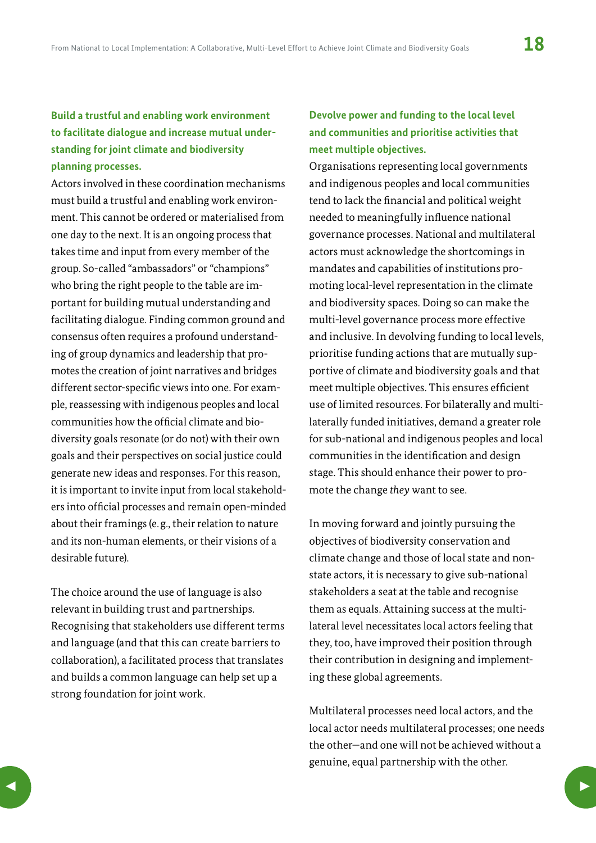### **Build a trustful and enabling work environment to facilitate dialogue and increase mutual understanding for joint climate and biodiversity planning processes.**

Actors involved in these coordination mechanisms must build a trustful and enabling work environment. This cannot be ordered or materialised from one day to the next. It is an ongoing process that takes time and input from every member of the group. So-called "ambassadors" or "champions" who bring the right people to the table are important for building mutual understanding and facilitating dialogue. Finding common ground and consensus often requires a profound understanding of group dynamics and leadership that promotes the creation of joint narratives and bridges different sector-specific views into one. For example, reassessing with indigenous peoples and local communities how the official climate and biodiversity goals resonate (or do not) with their own goals and their perspectives on social justice could generate new ideas and responses. For this reason, it is important to invite input from local stakeholders into official processes and remain open-minded about their framings (e. g., their relation to nature and its non-human elements, or their visions of a desirable future).

The choice around the use of language is also relevant in building trust and partnerships. Recognising that stakeholders use different terms and language (and that this can create barriers to collaboration), a facilitated process that translates and builds a common language can help set up a strong foundation for joint work.

#### **Devolve power and funding to the local level and communities and prioritise activities that meet multiple objectives.**

Organisations representing local governments and indigenous peoples and local communities tend to lack the financial and political weight needed to meaningfully influence national governance processes. National and multilateral actors must acknowledge the shortcomings in mandates and capabilities of institutions promoting local-level representation in the climate and biodiversity spaces. Doing so can make the multi-level governance process more effective and inclusive. In devolving funding to local levels, prioritise funding actions that are mutually supportive of climate and biodiversity goals and that meet multiple objectives. This ensures efficient use of limited resources. For bilaterally and multilaterally funded initiatives, demand a greater role for sub-national and indigenous peoples and local communities in the identification and design stage. This should enhance their power to promote the change *they* want to see.

In moving forward and jointly pursuing the objectives of biodiversity conservation and climate change and those of local state and nonstate actors, it is necessary to give sub-national stakeholders a seat at the table and recognise them as equals. Attaining success at the multilateral level necessitates local actors feeling that they, too, have improved their position through their contribution in designing and implementing these global agreements.

Multilateral processes need local actors, and the local actor needs multilateral processes; one needs the other—and one will not be achieved without a genuine, equal partnership with the other.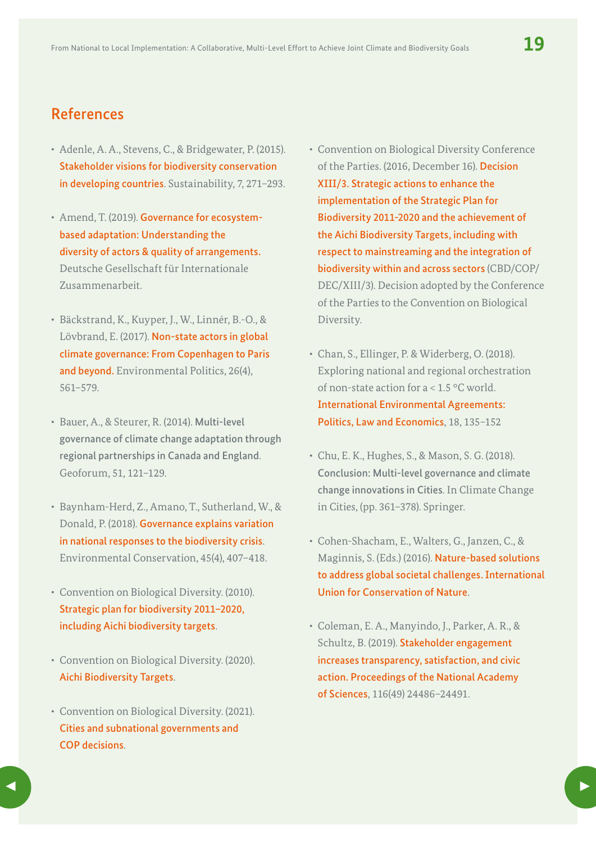## References

- Adenle, A. A., Stevens, C., & Bridgewater, P. (2015). [Stakeholder visions for biodiversity conservation](https://doi.org/10.3390/su7010271)  [in developing countries](https://doi.org/10.3390/su7010271). Sustainability, 7, 271-293.
- Amend, T. (2019). [Governance for ecosystem](https://www.adaptationcommunity.net/publications/governance-for-ecosystem-based-adaptation-understanding-the-diversity-of-actors-quality-of-arrangements/)[based adaptation: Understanding the](https://www.adaptationcommunity.net/publications/governance-for-ecosystem-based-adaptation-understanding-the-diversity-of-actors-quality-of-arrangements/)  [diversity of actors & quality of arrangements.](https://www.adaptationcommunity.net/publications/governance-for-ecosystem-based-adaptation-understanding-the-diversity-of-actors-quality-of-arrangements/) Deutsche Gesellschaft für Internationale Zusammenarbeit.
- Bäckstrand, K., Kuyper, J., W., Linnér, B.-O., & Lövbrand, E. (2017). [Non-state actors in global](https://doi.org/10.1080/09644016.2017.1327485)  [climate governance: From Copenhagen to Paris](https://doi.org/10.1080/09644016.2017.1327485)  [and beyond.](https://doi.org/10.1080/09644016.2017.1327485) Environmental Politics, 26(4), 561–579.
- Bauer, A., & Steurer, R. (2014). Multi-level governance of climate change adaptation through regional partnerships in Canada and England. Geoforum, 51, 121–129.
- Baynham-Herd, Z., Amano, T., Sutherland, W., & Donald, P. (2018). [Governance explains variation](https://doi.org/10.1017/S037689291700056X)  [in national responses to the biodiversity crisis](https://doi.org/10.1017/S037689291700056X). Environmental Conservation, 45(4), 407–418.
- Convention on Biological Diversity. (2010). [Strategic plan for biodiversity 2011–2020,](https://www.cbd.int/sp/)  [including Aichi biodiversity targets](https://www.cbd.int/sp/).
- Convention on Biological Diversity. (2020). [Aichi Biodiversity Targets](https://www.cbd.int/sp/targets/).
- Convention on Biological Diversity. (2021). [Cities and subnational governments and](https://www.cbd.int/subnational/cbd-plan-of-action)  [COP decisions](https://www.cbd.int/subnational/cbd-plan-of-action).
- Convention on Biological Diversity Conference of the Parties. (2016, December 16). [Decision](https://www.cbd.int/doc/decisions/cop-13/cop-13-dec-03-en.pdf)  [XIII/3. Strategic actions to enhance the](https://www.cbd.int/doc/decisions/cop-13/cop-13-dec-03-en.pdf)  [implementation of the Strategic Plan for](https://www.cbd.int/doc/decisions/cop-13/cop-13-dec-03-en.pdf)  [Biodiversity 2011-2020 and the achievement of](https://www.cbd.int/doc/decisions/cop-13/cop-13-dec-03-en.pdf)  [the Aichi Biodiversity Targets, including with](https://www.cbd.int/doc/decisions/cop-13/cop-13-dec-03-en.pdf)  [respect to mainstreaming and the integration of](https://www.cbd.int/doc/decisions/cop-13/cop-13-dec-03-en.pdf)  [biodiversity within and across sectors](https://www.cbd.int/doc/decisions/cop-13/cop-13-dec-03-en.pdf) (CBD/COP/ DEC/XIII/3). Decision adopted by the Conference of the Parties to the Convention on Biological Diversity.
- Chan, S., Ellinger, P. & Widerberg, O. (2018). Exploring national and regional orchestration of non-state action for a < 1.5 °C world. [International Environmental Agreements:](https://link.springer.com/article/10.1007/s10784-018-9384-2)  [Politics, Law and Economics](https://link.springer.com/article/10.1007/s10784-018-9384-2), 18, 135–152
- Chu, E. K., Hughes, S., & Mason, S. G. (2018). Conclusion: Multi-level governance and climate change innovations in Cities. In Climate Change in Cities, (pp. 361–378). Springer.
- Cohen-Shacham, E., Walters, G., Janzen, C., & Maginnis, S. (Eds.) (2016). [Nature-based solutions](https://portals.iucn.org/library/node/46191)  [to address global societal challenges. International](https://portals.iucn.org/library/node/46191) [Union for Conservation of Nature](https://portals.iucn.org/library/node/46191).
- Coleman, E. A., Manyindo, J., Parker, A. R., & Schultz, B. (2019). [Stakeholder engagement](https://www.pnas.org/doi/full/10.1073/pnas.1908433116)  [increases transparency, satisfaction, and civic](https://www.pnas.org/doi/full/10.1073/pnas.1908433116)  [action. Proceedings of the National Academy](https://www.pnas.org/doi/full/10.1073/pnas.1908433116)  [of Sciences](https://www.pnas.org/doi/full/10.1073/pnas.1908433116), 116(49) 24486–24491.

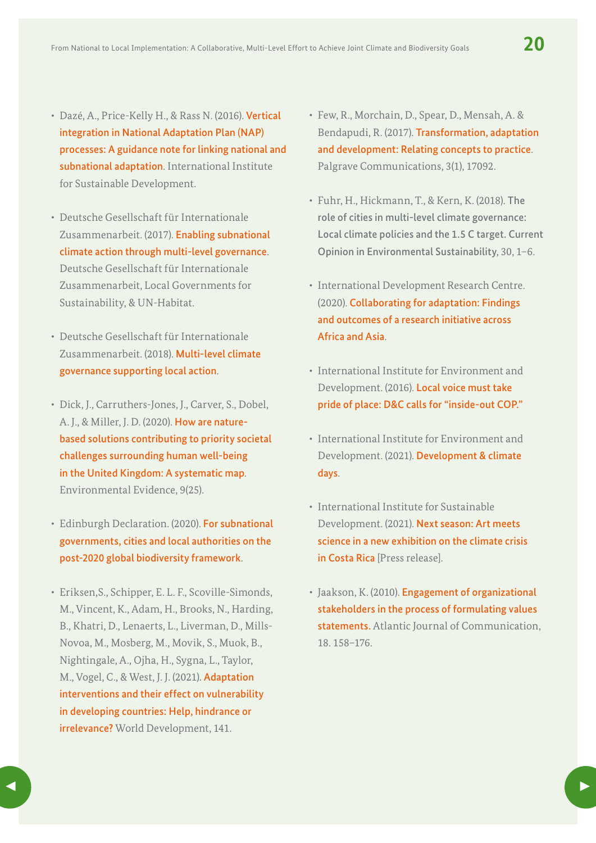- Dazé, A., Price-Kelly H., & Rass N. (2016). [Vertical](https://www.iisd.org/reader/napgn-en-2016-vertical-integration-in-nap-processes)  [integration in National Adaptation Plan \(NAP\)](https://www.iisd.org/reader/napgn-en-2016-vertical-integration-in-nap-processes)  [processes: A guidance note for linking national and](https://www.iisd.org/reader/napgn-en-2016-vertical-integration-in-nap-processes) [subnational adaptation](https://www.iisd.org/reader/napgn-en-2016-vertical-integration-in-nap-processes). International Institute for Sustainable Development.
- Deutsche Gesellschaft für Internationale Zusammenarbeit. (2017). [Enabling subnational](https://www.climate-chance.org/en/library/enabling-subnational-climate-action-through-multi-level-governance/)  [climate action through multi-level governance](https://www.climate-chance.org/en/library/enabling-subnational-climate-action-through-multi-level-governance/). Deutsche Gesellschaft für Internationale Zusammenarbeit, Local Governments for Sustainability, & UN-Habitat.
- Deutsche Gesellschaft für Internationale Zusammenarbeit. (2018). [Multi-level climate](https://collaborative-climate-action.org/wp-content/uploads/2019/11/Multi-Level-Climate-Governance.pdf)  [governance supporting local action](https://collaborative-climate-action.org/wp-content/uploads/2019/11/Multi-Level-Climate-Governance.pdf).
- Dick, J., Carruthers-Jones, J., Carver, S., Dobel, A. J., & Miller, J. D. (2020). [How are nature](https://environmentalevidencejournal.biomedcentral.com/articles/10.1186/s13750-020-00208-6)[based solutions contributing to priority societal](https://environmentalevidencejournal.biomedcentral.com/articles/10.1186/s13750-020-00208-6)  [challenges surrounding human well-being](https://environmentalevidencejournal.biomedcentral.com/articles/10.1186/s13750-020-00208-6)  [in the United Kingdom: A systematic map](https://environmentalevidencejournal.biomedcentral.com/articles/10.1186/s13750-020-00208-6). Environmental Evidence, 9(25).
- Edinburgh Declaration. (2020). For subnational [governments, cities and local authorities on the](https://www.gov.scot/publications/edinburgh-declaration-on-post-2020-biodiversity-framework/pages/how-to-sign/)  [post-2020 global biodiversity framework](https://www.gov.scot/publications/edinburgh-declaration-on-post-2020-biodiversity-framework/pages/how-to-sign/).
- Eriksen,S., Schipper, E. L. F., Scoville-Simonds, M., Vincent, K., Adam, H., Brooks, N., Harding, B., Khatri, D., Lenaerts, L., Liverman, D., Mills-Novoa, M., Mosberg, M., Movik, S., Muok, B., Nightingale, A., Ojha, H., Sygna, L., Taylor, M., Vogel, C., & West, J. J. (2021). [Adaptation](https://doi.org/10.1016/j.worlddev.2020.105383)  [interventions and their effect on vulnerability](https://doi.org/10.1016/j.worlddev.2020.105383)  [in developing countries: Help, hindrance or](https://doi.org/10.1016/j.worlddev.2020.105383)  **[irrelevance?](https://doi.org/10.1016/j.worlddev.2020.105383)** World Development, 141.
- Few, R., Morchain, D., Spear, D., Mensah, A. & Bendapudi, R. (2017). [Transformation, adaptation](https://www.researchgate.net/publication/319435816_Transformation_adaptation_and_development_relating_concepts_to_practice)  [and development: Relating concepts to practice](https://www.researchgate.net/publication/319435816_Transformation_adaptation_and_development_relating_concepts_to_practice). Palgrave Communications, 3(1), 17092.
- Fuhr, H., Hickmann, T., & Kern, K. (2018). The role of cities in multi-level climate governance: Local climate policies and the 1.5 C target. Current Opinion in Environmental Sustainability, 30, 1–6.
- International Development Research Centre. (2020). [Collaborating for adaptation: Findings](https://www.idrc.ca/en/initiative/collaborative-adaptation-research-initiative-africa-and-asia)  [and outcomes of a research initiative across](https://www.idrc.ca/en/initiative/collaborative-adaptation-research-initiative-africa-and-asia)  [Africa and Asia](https://www.idrc.ca/en/initiative/collaborative-adaptation-research-initiative-africa-and-asia).
- International Institute for Environment and Development. (2016). [Local voice must take](https://www.iied.org/local-voice-must-take-pride-place-dc-calls-for-inside-out-cop)  [pride of place: D&C calls for "inside-out COP."](https://www.iied.org/local-voice-must-take-pride-place-dc-calls-for-inside-out-cop)
- International Institute for Environment and Development. (2021). [Development & climate](https://www.iied.org/development-climate-days-history)  [days](https://www.iied.org/development-climate-days-history).
- International Institute for Sustainable Development. (2021). [Next season: Art meets](https://www.iisd.org/articles/next-season-art-meets-science-new-exhibition-climate-crisis-costa-rica)  [science in a new exhibition on the climate crisis](https://www.iisd.org/articles/next-season-art-meets-science-new-exhibition-climate-crisis-costa-rica)  [in Costa Rica](https://www.iisd.org/articles/next-season-art-meets-science-new-exhibition-climate-crisis-costa-rica) [Press release].
- Jaakson, K. (2010). [Engagement of organizational](https://doi.org/10.1080/15456871003742138)  [stakeholders in the process of formulating values](https://doi.org/10.1080/15456871003742138)  [statements.](https://doi.org/10.1080/15456871003742138) Atlantic Journal of Communication, 18. 158–176.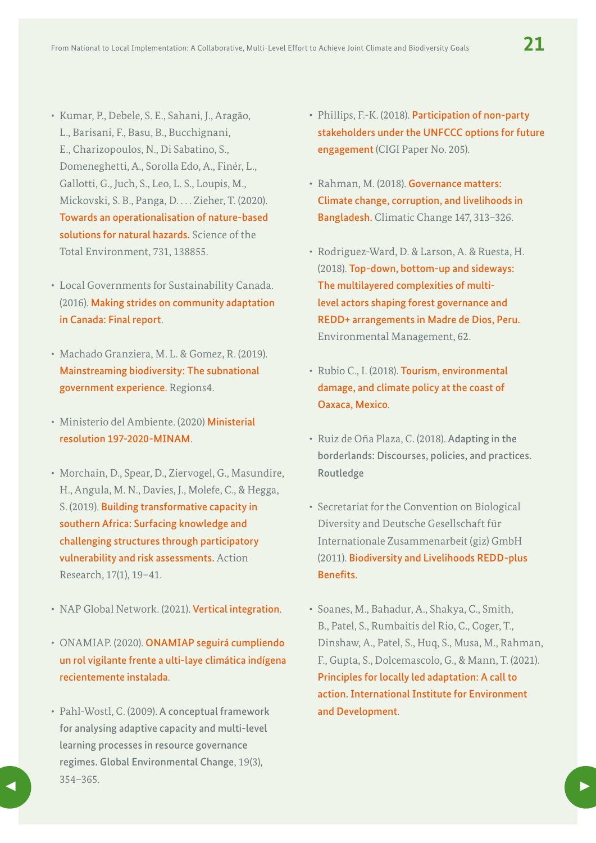- Kumar, P., Debele, S. E., Sahani, J., Aragão, L., Barisani, F., Basu, B., Bucchignani, E., Charizopoulos, N., Di Sabatino, S., Domeneghetti, A., Sorolla Edo, A., Finér, L., Gallotti, G., Juch, S., Leo, L. S., Loupis, M., Mickovski, S. B., Panga, D. . . . Zieher, T. (2020). [Towards an operationalisation of nature-based](https://doi.org/10.1016/j.scitotenv.2020.138855)  [solutions for natural hazards.](https://doi.org/10.1016/j.scitotenv.2020.138855) Science of the Total Environment, 731, 138855.
- Local Governments for Sustainability Canada. (2016). [Making strides on community adaptation](https://icleicanada.org/wp-content/uploads/2019/07/Making-Strides-on-Community-Adaptation.pdf)  [in Canada: Final report](https://icleicanada.org/wp-content/uploads/2019/07/Making-Strides-on-Community-Adaptation.pdf).
- Machado Granziera, M. L. & Gomez, R. (2019). [Mainstreaming biodiversity: The subnational](https://www.cbd.int/doc/nbsap/sbsap/mainstreaming-biodiversity-subnational.pdf)  [government experience](https://www.cbd.int/doc/nbsap/sbsap/mainstreaming-biodiversity-subnational.pdf). Regions4.
- Ministerio del Ambiente. (2020) [Ministerial](https://www.gob.pe/institucion/minam/normas-legales/1224212-197-2020-minam)  [resolution 197-2020-MINAM](https://www.gob.pe/institucion/minam/normas-legales/1224212-197-2020-minam).
- Morchain, D., Spear, D., Ziervogel, G., Masundire, H., Angula, M. N., Davies, J., Molefe, C., & Hegga, S. (2019). [Building transformative capacity in](https://doi.org/10.1177/1476750319829205)  [southern Africa: Surfacing knowledge and](https://doi.org/10.1177/1476750319829205)  [challenging structures through participatory](https://doi.org/10.1177/1476750319829205)  [vulnerability and risk assessments.](https://doi.org/10.1177/1476750319829205) Action Research, 17(1), 19–41.
- NAP Global Network. (2021). [Vertical integration](https://napglobalnetwork.org/themes/vertical-integration/).
- ONAMIAP. (2020). [ONAMIAP seguirá cumpliendo](http://onamiap.org/2020/10/onamiap-seguira-cumpliendo-un-rol-vigilante-frente-a-plataforma-climatica-indigena-recientemente-instalada/)  [un rol vigilante frente a ulti-laye climática indígena](http://onamiap.org/2020/10/onamiap-seguira-cumpliendo-un-rol-vigilante-frente-a-plataforma-climatica-indigena-recientemente-instalada/) [recientemente instalada](http://onamiap.org/2020/10/onamiap-seguira-cumpliendo-un-rol-vigilante-frente-a-plataforma-climatica-indigena-recientemente-instalada/).
- Pahl-Wostl, C. (2009). A conceptual framework for analysing adaptive capacity and multi-level learning processes in resource governance regimes. Global Environmental Change, 19(3), 354–365.  $\sum_{i=1}^{3}$  and  $\sum_{i=1}^{3}$  and  $\sum_{i=1}^{3}$  and  $\sum_{i=1}^{3}$  and  $\sum_{i=1}^{3}$  and  $\sum_{i=1}^{3}$  and  $\sum_{i=1}^{3}$  and  $\sum_{i=1}^{3}$  and  $\sum_{i=1}^{3}$  and  $\sum_{i=1}^{3}$  and  $\sum_{i=1}^{3}$  and  $\sum_{i=1}^{3}$  and  $\sum_{i=1}^{3}$  and
- Phillips, F.-K. (2018). [Participation of non-party](https://www.cigionline.org/publications/participation-non-party-stakeholders-under-unfccc-options-future-engagement/)  [stakeholders under the UNFCCC options for future](https://www.cigionline.org/publications/participation-non-party-stakeholders-under-unfccc-options-future-engagement/) [engagement](https://www.cigionline.org/publications/participation-non-party-stakeholders-under-unfccc-options-future-engagement/) (CIGI Paper No. 205).
- Rahman, M. (2018). [Governance matters:](https://doi.org/10.1007/s10584-018-2139-9)  [Climate change, corruption, and livelihoods in](https://doi.org/10.1007/s10584-018-2139-9)  [Bangladesh.](https://doi.org/10.1007/s10584-018-2139-9) Climatic Change 147, 313–326.
- Rodriguez-Ward, D. & Larson, A. & Ruesta, H. (2018). [Top-down, bottom-up and sideways:](https://doi.org/10.1007/s00267-017-0982-5)  [The multilayered complexities of multi](https://doi.org/10.1007/s00267-017-0982-5)[level actors shaping forest governance and](https://doi.org/10.1007/s00267-017-0982-5)  [REDD+ arrangements in Madre de Dios, Peru.](https://doi.org/10.1007/s00267-017-0982-5)  Environmental Management, 62.
- Rubio C., I. (2018). [Tourism, environmental](https://www.taylorfrancis.com/chapters/edit/10.4324/9781315165448-5/tourism-environmental-damage-climate-policy-coast-oaxaca-mexico-ignacio-rubio)  [damage, and climate policy at the coast of](https://www.taylorfrancis.com/chapters/edit/10.4324/9781315165448-5/tourism-environmental-damage-climate-policy-coast-oaxaca-mexico-ignacio-rubio)  [Oaxaca, Mexico](https://www.taylorfrancis.com/chapters/edit/10.4324/9781315165448-5/tourism-environmental-damage-climate-policy-coast-oaxaca-mexico-ignacio-rubio).
- Ruiz de Oña Plaza, C. (2018). Adapting in the borderlands: Discourses, policies, and practices. Routledge
- Secretariat for the Convention on Biological Diversity and Deutsche Gesellschaft für Internationale Zusammenarbeit (giz) GmbH (2011). [Biodiversity and Livelihoods REDD-plus](https://www.cbd.int/doc/publications/for-redd-en.pdf)  [Benefits](https://www.cbd.int/doc/publications/for-redd-en.pdf).
- Soanes, M., Bahadur, A., Shakya, C., Smith, B., Patel, S., Rumbaitis del Rio, C., Coger, T., Dinshaw, A., Patel, S., Huq, S., Musa, M., Rahman, F., Gupta, S., Dolcemascolo, G., & Mann, T. (2021). [Principles for locally led adaptation: A call to](https://pubs.iied.org/10211iied)  [action. International Institute for Environment](https://pubs.iied.org/10211iied)  [and Development](https://pubs.iied.org/10211iied).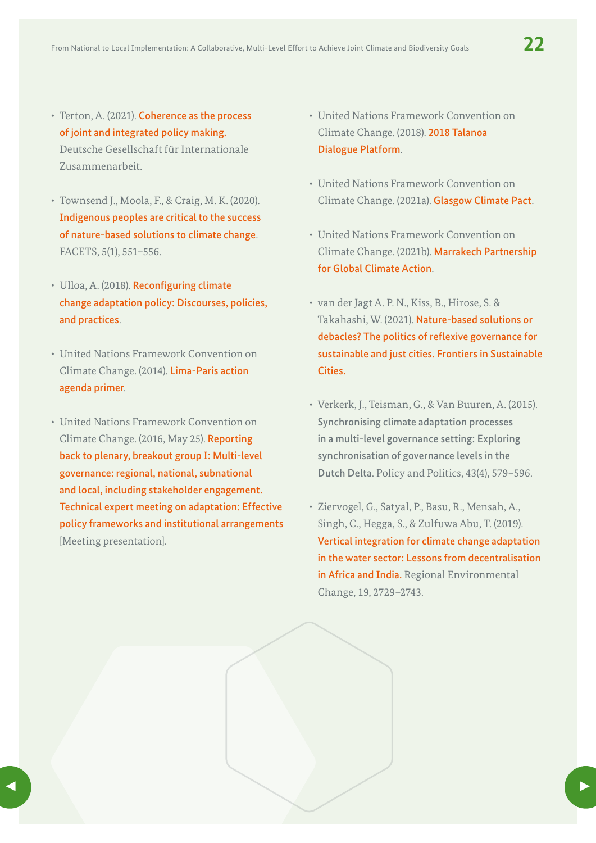- Terton, A. (2021). Coherence as the process [of joint and integrated policy making.](https://www.adaptationcommunity.net/wp-content/uploads/2021/03/giz2021-0033en-coherence-policy-making.pdf)  Deutsche Gesellschaft für Internationale Zusammenarbeit.
- Townsend J., Moola, F., & Craig, M. K. (2020). I[ndigenous peoples are critical to the success](https://doi.org/10.1139/facets-2019-0058)  [of nature-based solutions to climate change](https://doi.org/10.1139/facets-2019-0058). FACETS, 5(1), 551–556.
- Ulloa, A. (2018). [Reconfiguring climate](https://doi.org/10.4324/9781315165448-12)  [change adaptation policy: Discourses, policies,](https://doi.org/10.4324/9781315165448-12)  [and practices](https://doi.org/10.4324/9781315165448-12).
- United Nations Framework Convention on Climate Change. (2014). [Lima-Paris action](https://unfccc.int/media/509508/lpaa-primer.pdf)  [agenda primer](https://unfccc.int/media/509508/lpaa-primer.pdf).
- United Nations Framework Convention on Climate Change. (2016, May 25). [Reporting](https://unfccc.int/sites/default/files/20160525_bog1_reporting.pdf)  [back to plenary, breakout group I: Multi-level](https://unfccc.int/sites/default/files/20160525_bog1_reporting.pdf)  [governance: regional, national, subnational](https://unfccc.int/sites/default/files/20160525_bog1_reporting.pdf)  [and local, including stakeholder engagement.](https://unfccc.int/sites/default/files/20160525_bog1_reporting.pdf)  [Technical expert meeting on adaptation: Effective](https://unfccc.int/sites/default/files/20160525_bog1_reporting.pdf)  [policy frameworks and institutional arrangements](https://unfccc.int/sites/default/files/20160525_bog1_reporting.pdf) [Meeting presentation].
- United Nations Framework Convention on Climate Change. (2018). [2018 Talanoa](https://unfccc.int/process-and-meetings/the-paris-agreement/the-paris-agreement/2018-talanoa-dialogue-platform)  [Dialogue Platform](https://unfccc.int/process-and-meetings/the-paris-agreement/the-paris-agreement/2018-talanoa-dialogue-platform).
- United Nations Framework Convention on Climate Change. (2021a). [Glasgow Climate Pact](https://unfccc.int/sites/default/files/resource/cop26_auv_2f_cover_decision.pdf).
- United Nations Framework Convention on Climate Change. (2021b). [Marrakech Partnership](https://unfccc.int/climate-action/marrakech-partnership-for-global-climate-action)  [for Global Climate Action](https://unfccc.int/climate-action/marrakech-partnership-for-global-climate-action).
- van der Jagt A. P. N., Kiss, B., Hirose, S. & Takahashi, W. (2021). [Nature-based solutions or](https://doi.org/10.3389/frsc.2020.583833)  [debacles? The politics of reflexive governance for](https://doi.org/10.3389/frsc.2020.583833)  [sustainable and just cities. Frontiers in Sustainable](https://doi.org/10.3389/frsc.2020.583833)  [Cities.](https://doi.org/10.3389/frsc.2020.583833)
- Verkerk, J., Teisman, G., & Van Buuren, A. (2015). Synchronising climate adaptation processes in a multi-level governance setting: Exploring synchronisation of governance levels in the Dutch Delta. Policy and Politics, 43(4), 579–596.
- Ziervogel, G., Satyal, P., Basu, R., Mensah, A., Singh, C., Hegga, S., & Zulfuwa Abu, T. (2019). [Vertical integration for climate change adaptation](https://doi.org/10.1007/s10113-019-01571-y)  [in the water sector: Lessons from decentralisation](https://doi.org/10.1007/s10113-019-01571-y)  [in Africa and India.](https://doi.org/10.1007/s10113-019-01571-y) Regional Environmental Change, 19, 2729–2743.